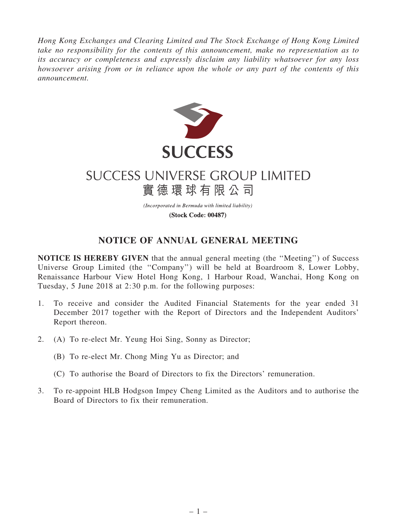*Hong Kong Exchanges and Clearing Limited and The Stock Exchange of Hong Kong Limited take no responsibility for the contents of this announcement, make no representation as to its accuracy or completeness and expressly disclaim any liability whatsoever for any loss howsoever arising from or in reliance upon the whole or any part of the contents of this announcement.*



## **SUCCESS UNIVERSE GROUP LIMITED** 實德環球有限公司

(Incorporated in Bermuda with limited liability) (Stock Code: 00487)

## NOTICE OF ANNUAL GENERAL MEETING

NOTICE IS HEREBY GIVEN that the annual general meeting (the ''Meeting'') of Success Universe Group Limited (the ''Company'') will be held at Boardroom 8, Lower Lobby, Renaissance Harbour View Hotel Hong Kong, 1 Harbour Road, Wanchai, Hong Kong on Tuesday, 5 June 2018 at 2:30 p.m. for the following purposes:

- 1. To receive and consider the Audited Financial Statements for the year ended 31 December 2017 together with the Report of Directors and the Independent Auditors' Report thereon.
- 2. (A) To re-elect Mr. Yeung Hoi Sing, Sonny as Director;
	- (B) To re-elect Mr. Chong Ming Yu as Director; and
	- (C) To authorise the Board of Directors to fix the Directors' remuneration.
- 3. To re-appoint HLB Hodgson Impey Cheng Limited as the Auditors and to authorise the Board of Directors to fix their remuneration.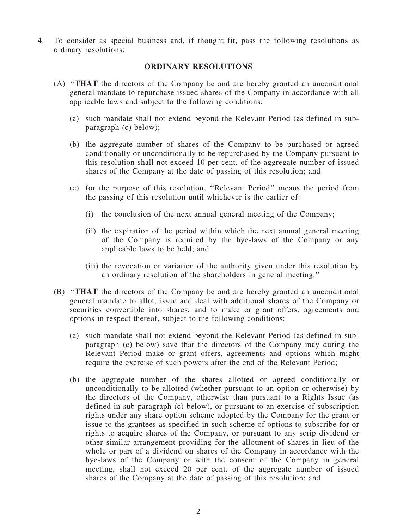4. To consider as special business and, if thought fit, pass the following resolutions as ordinary resolutions:

## ORDINARY RESOLUTIONS

- (A) ''THAT the directors of the Company be and are hereby granted an unconditional general mandate to repurchase issued shares of the Company in accordance with all applicable laws and subject to the following conditions:
	- (a) such mandate shall not extend beyond the Relevant Period (as defined in subparagraph (c) below);
	- (b) the aggregate number of shares of the Company to be purchased or agreed conditionally or unconditionally to be repurchased by the Company pursuant to this resolution shall not exceed 10 per cent. of the aggregate number of issued shares of the Company at the date of passing of this resolution; and
	- (c) for the purpose of this resolution, ''Relevant Period'' means the period from the passing of this resolution until whichever is the earlier of:
		- (i) the conclusion of the next annual general meeting of the Company;
		- (ii) the expiration of the period within which the next annual general meeting of the Company is required by the bye-laws of the Company or any applicable laws to be held; and
		- (iii) the revocation or variation of the authority given under this resolution by an ordinary resolution of the shareholders in general meeting.''
- (B) ''THAT the directors of the Company be and are hereby granted an unconditional general mandate to allot, issue and deal with additional shares of the Company or securities convertible into shares, and to make or grant offers, agreements and options in respect thereof, subject to the following conditions:
	- (a) such mandate shall not extend beyond the Relevant Period (as defined in subparagraph (c) below) save that the directors of the Company may during the Relevant Period make or grant offers, agreements and options which might require the exercise of such powers after the end of the Relevant Period;
	- (b) the aggregate number of the shares allotted or agreed conditionally or unconditionally to be allotted (whether pursuant to an option or otherwise) by the directors of the Company, otherwise than pursuant to a Rights Issue (as defined in sub-paragraph (c) below), or pursuant to an exercise of subscription rights under any share option scheme adopted by the Company for the grant or issue to the grantees as specified in such scheme of options to subscribe for or rights to acquire shares of the Company, or pursuant to any scrip dividend or other similar arrangement providing for the allotment of shares in lieu of the whole or part of a dividend on shares of the Company in accordance with the bye-laws of the Company or with the consent of the Company in general meeting, shall not exceed 20 per cent. of the aggregate number of issued shares of the Company at the date of passing of this resolution; and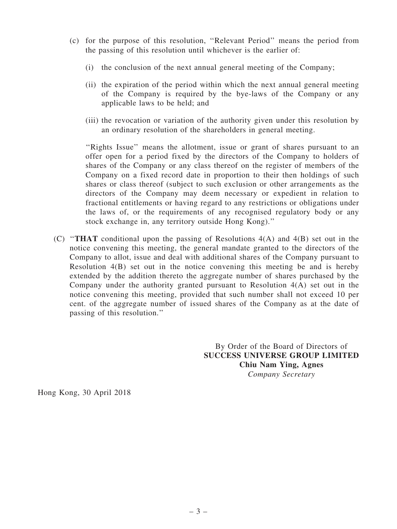- (c) for the purpose of this resolution, ''Relevant Period'' means the period from the passing of this resolution until whichever is the earlier of:
	- (i) the conclusion of the next annual general meeting of the Company;
	- (ii) the expiration of the period within which the next annual general meeting of the Company is required by the bye-laws of the Company or any applicable laws to be held; and
	- (iii) the revocation or variation of the authority given under this resolution by an ordinary resolution of the shareholders in general meeting.

''Rights Issue'' means the allotment, issue or grant of shares pursuant to an offer open for a period fixed by the directors of the Company to holders of shares of the Company or any class thereof on the register of members of the Company on a fixed record date in proportion to their then holdings of such shares or class thereof (subject to such exclusion or other arrangements as the directors of the Company may deem necessary or expedient in relation to fractional entitlements or having regard to any restrictions or obligations under the laws of, or the requirements of any recognised regulatory body or any stock exchange in, any territory outside Hong Kong).''

(C) ''THAT conditional upon the passing of Resolutions 4(A) and 4(B) set out in the notice convening this meeting, the general mandate granted to the directors of the Company to allot, issue and deal with additional shares of the Company pursuant to Resolution 4(B) set out in the notice convening this meeting be and is hereby extended by the addition thereto the aggregate number of shares purchased by the Company under the authority granted pursuant to Resolution 4(A) set out in the notice convening this meeting, provided that such number shall not exceed 10 per cent. of the aggregate number of issued shares of the Company as at the date of passing of this resolution.''

> By Order of the Board of Directors of SUCCESS UNIVERSE GROUP LIMITED Chiu Nam Ying, Agnes *Company Secretary*

Hong Kong, 30 April 2018